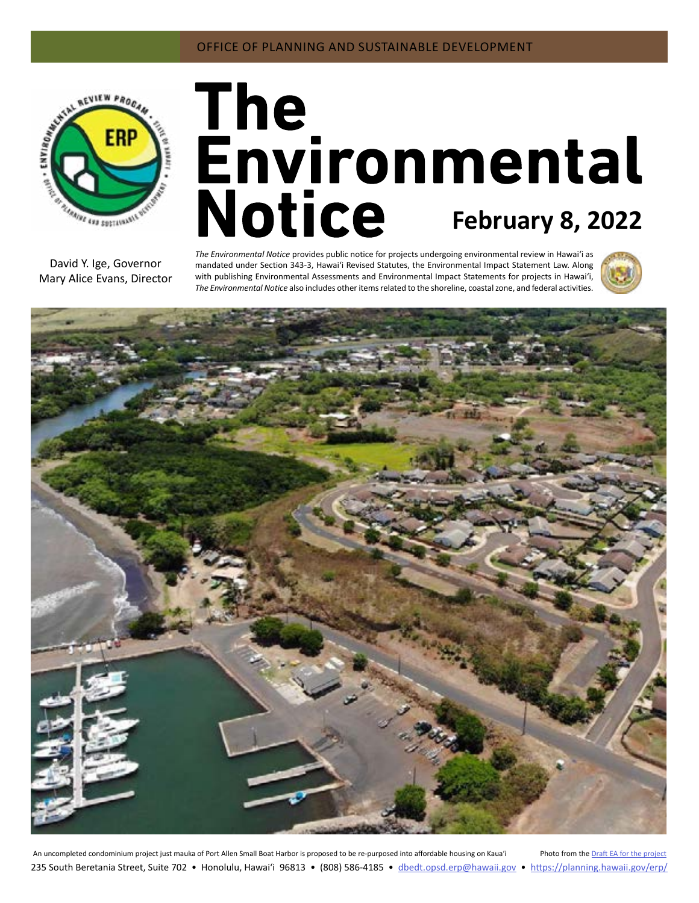

# The<br>Environmental Notice February 8, 2022

David Y. Ige, Governor Mary Alice Evans, Director *The Environmental Notice* provides public notice for projects undergoing environmental review in Hawaiʻi as mandated under Section 343-3, Hawaiʻi Revised Statutes, the Environmental Impact Statement Law. Along with publishing Environmental Assessments and Environmental Impact Statements for projects in Hawai'i, *The Environmental Notice* also includes other items related to the shoreline, coastal zone, and federal activities.





An uncompleted condominium project just mauka of Port Allen Small Boat Harbor is proposed to be re-purposed into affordable housing on Kaua'i Photo from the [Draft EA for the project](#page-4-0) 235 South Beretania Street, Suite 702 • Honolulu, Hawai'i 96813 • (808) 586-4185 • dbedt.opsd.erp[@hawaii.gov](mailto:dbedt.opsd.erp%40hawaii.gov?subject=) • <https://planning.hawaii.gov/erp/>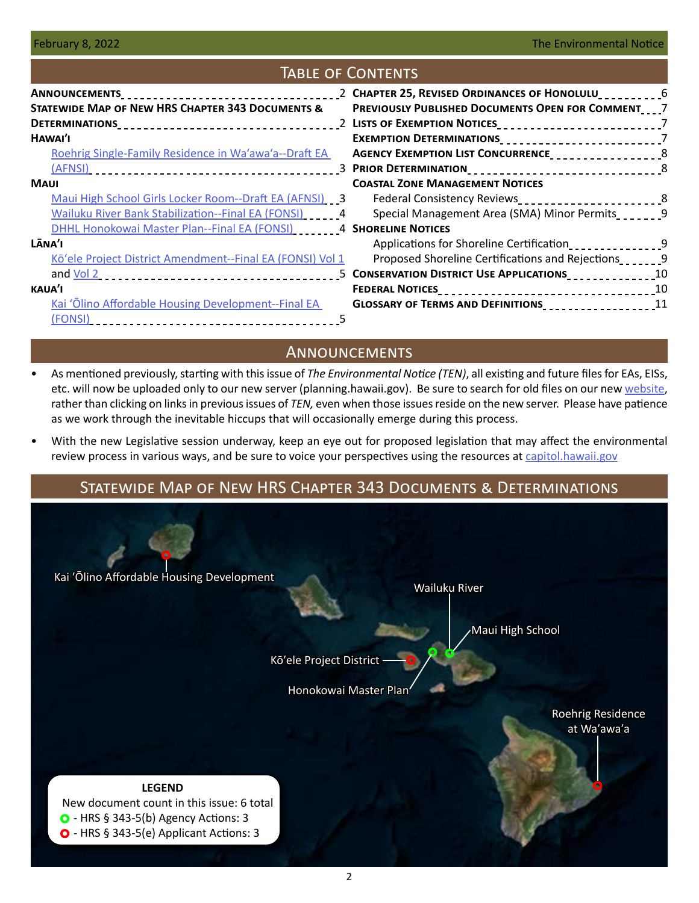### Table of Contents **ANNOUNCEMENTS Statewide Map of New HRS Chapter 343 Documents & Determinations** 2 **[Lists of Exemption Notices](#page-6-0)** 7 **[Hawaiʹi](#page-2-0)** [Roehrig Single-Family Residence in Wa'awa'a--Draft EA](#page-2-0)  [\(AFNSI\)](#page-2-0) 3 **[Prior Determination](#page-7-0)** 8 **[Maui](#page-2-0)** [Maui High School Girls Locker Room--Draft EA \(AFNSI\)](#page-2-0) 3 [Wailuku River Bank Stabilization--Final EA \(FONSI\)](#page-3-0) [10] 24 **[DHHL Honokowai Master Plan--Final EA \(FONSI\)](#page-3-0) [10011] SHORELINE NOTICES [L�naʹi](#page-4-0)** [Kōʻele Project District Amendment--Final EA \(FONSI\) Vol 1](#page-4-0) and Vol 2 5 **[Conservation District Use Applications](#page-9-0)** 10 **[kauaʹi](#page-4-0)** [Kai ʻŌlino Affordable Housing Development--Final EA](#page-4-0)  [\(FONSI\)](#page-4-0) 5 **[Chapter 25, Revised Ordinances of Honolulu](#page-5-0)** 6 **[Previously Published Documents Open for Comment](#page-6-0)** 7 **[Exemption Determinations](#page-6-0)** 7 **[Agency Exemption List Concurrence](#page-7-0)** 8 **[Coastal Zone Management Notices](#page-7-0)** [Federal Consistency Reviews](#page-7-0)<br>
<u>[</u>20]  $2x + 1$ <br>  $3x + 2y + 2y = 8$ [Special Management Area \(SMA\) Minor Permits](#page-8-0) 2002-2014 [Applications for Shoreline Certification](#page-8-0)\_\_\_\_\_\_\_\_\_\_\_\_\_\_\_\_9 [Proposed Shoreline Certifications and Rejections](#page-8-0) **[Federal Notices](#page-9-0)** 10 **[Glossary of Terms and Definitions](#page-10-0)** 11

# **ANNOUNCEMENTS**

- As mentioned previously, starting with this issue of *The Environmental Notice (TEN)*, all existing and future files for EAs, EISs, etc. will now be uploaded only to our new server (planning.hawaii.gov). Be sure to search for old files on our new [website](https://planning.hawaii.gov/erp/), rather than clicking on links in previous issues of *TEN,* even when those issues reside on the new server. Please have patience as we work through the inevitable hiccups that will occasionally emerge during this process.
- With the new Legislative session underway, keep an eye out for proposed legislation that may affect the environmental review process in various ways, and be sure to voice your perspectives using the resources at [capitol.hawaii.gov](http://capitol.hawaii.gov)

# Statewide Map of New HRS Chapter 343 Documents & Determinations

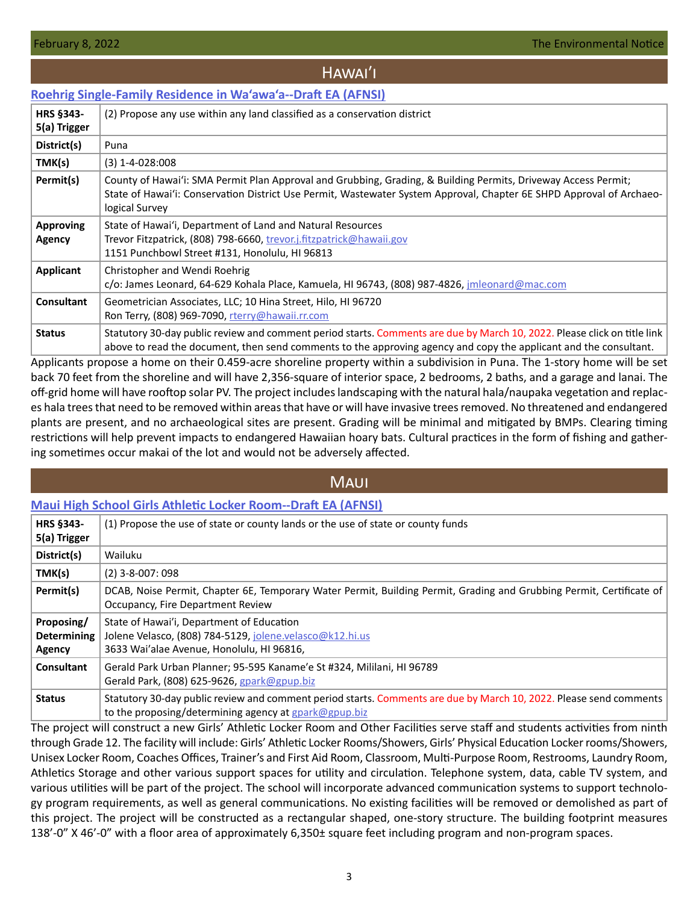# HAWAI'I

### <span id="page-2-0"></span>**[Roehrig Single-Family Residence in Wa'awa'a--Draft EA \(AFNSI\)](https://files.hawaii.gov/dbedt/erp/Doc_Library/2022-02-08-HA-DEA-Roehrig-SFR-in-Waawaa.pdf)**

| <b>HRS §343-</b><br>5(a) Trigger | (2) Propose any use within any land classified as a conservation district                                                                                                                                                                                |
|----------------------------------|----------------------------------------------------------------------------------------------------------------------------------------------------------------------------------------------------------------------------------------------------------|
| District(s)                      | Puna                                                                                                                                                                                                                                                     |
| TMK(s)                           | $(3)$ 1-4-028:008                                                                                                                                                                                                                                        |
| Permit(s)                        | County of Hawai'i: SMA Permit Plan Approval and Grubbing, Grading, & Building Permits, Driveway Access Permit;<br>State of Hawai'i: Conservation District Use Permit, Wastewater System Approval, Chapter 6E SHPD Approval of Archaeo-<br>logical Survey |
| <b>Approving</b><br>Agency       | State of Hawai'i, Department of Land and Natural Resources<br>Trevor Fitzpatrick, (808) 798-6660, trevor.j.fitzpatrick@hawaii.gov<br>1151 Punchbowl Street #131, Honolulu, HI 96813                                                                      |
| Applicant                        | Christopher and Wendi Roehrig<br>c/o: James Leonard, 64-629 Kohala Place, Kamuela, HI 96743, (808) 987-4826, jmleonard@mac.com                                                                                                                           |
| Consultant                       | Geometrician Associates, LLC; 10 Hina Street, Hilo, HI 96720<br>Ron Terry, (808) 969-7090, rterry@hawaii.rr.com                                                                                                                                          |
| <b>Status</b>                    | Statutory 30-day public review and comment period starts. Comments are due by March 10, 2022. Please click on title link<br>above to read the document, then send comments to the approving agency and copy the applicant and the consultant.            |

Applicants propose a home on their 0.459-acre shoreline property within a subdivision in Puna. The 1-story home will be set back 70 feet from the shoreline and will have 2,356-square of interior space, 2 bedrooms, 2 baths, and a garage and lanai. The off-grid home will have rooftop solar PV. The project includes landscaping with the natural hala/naupaka vegetation and replaces hala trees that need to be removed within areas that have or will have invasive trees removed. No threatened and endangered plants are present, and no archaeological sites are present. Grading will be minimal and mitigated by BMPs. Clearing timing restrictions will help prevent impacts to endangered Hawaiian hoary bats. Cultural practices in the form of fishing and gathering sometimes occur makai of the lot and would not be adversely affected.

# **MAUI**

### **[Maui High School Girls Athletic Locker Room--Draft EA \(AFNSI\)](https://files.hawaii.gov/dbedt/erp/Doc_Library/2022-02-08-MA-DEA-Maui-High-School-Girls-Locker-Room.pdf)**

| <b>HRS §343-</b><br>5(a) Trigger           | (1) Propose the use of state or county lands or the use of state or county funds                                                                                               |
|--------------------------------------------|--------------------------------------------------------------------------------------------------------------------------------------------------------------------------------|
| District(s)                                | Wailuku                                                                                                                                                                        |
| TMK(s)                                     | $(2)$ 3-8-007: 098                                                                                                                                                             |
| Permit(s)                                  | DCAB, Noise Permit, Chapter 6E, Temporary Water Permit, Building Permit, Grading and Grubbing Permit, Certificate of<br>Occupancy, Fire Department Review                      |
| Proposing/<br><b>Determining</b><br>Agency | State of Hawai'i, Department of Education<br>Jolene Velasco, (808) 784-5129, jolene.velasco@k12.hi.us<br>3633 Wai'alae Avenue, Honolulu, HI 96816,                             |
| Consultant                                 | Gerald Park Urban Planner; 95-595 Kaname'e St #324, Mililani, HI 96789<br>Gerald Park, (808) 625-9626, $g$ park@gpup.biz                                                       |
| <b>Status</b>                              | Statutory 30-day public review and comment period starts. Comments are due by March 10, 2022. Please send comments<br>to the proposing/determining agency at $g$ park@gpup.biz |

The project will construct a new Girls' Athletic Locker Room and Other Facilities serve staff and students activities from ninth through Grade 12. The facility will include: Girls' Athletic Locker Rooms/Showers, Girls' Physical Education Locker rooms/Showers, Unisex Locker Room, Coaches Offices, Trainer's and First Aid Room, Classroom, Multi-Purpose Room, Restrooms, Laundry Room, Athletics Storage and other various support spaces for utility and circulation. Telephone system, data, cable TV system, and various utilities will be part of the project. The school will incorporate advanced communication systems to support technology program requirements, as well as general communications. No existing facilities will be removed or demolished as part of this project. The project will be constructed as a rectangular shaped, one-story structure. The building footprint measures 138'-0" X 46'-0" with a floor area of approximately 6,350± square feet including program and non-program spaces.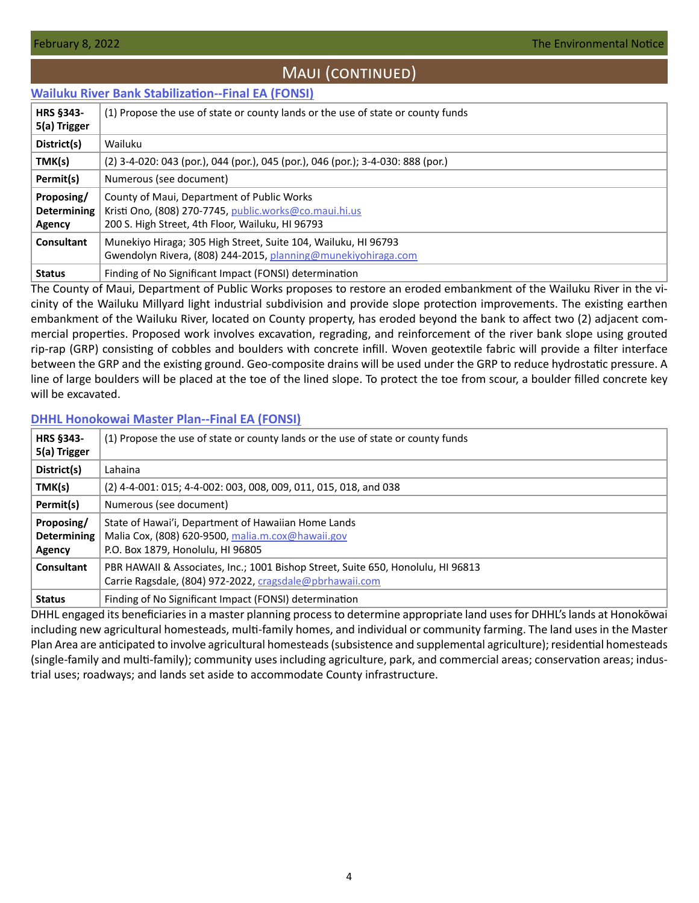# Maui (continued)

### <span id="page-3-0"></span>**[Wailuku River Bank Stabilization--Final EA \(FONSI\)](https://files.hawaii.gov/dbedt/erp/Doc_Library/2022-02-08-MA-FEA-Wailuku-River-Bank-Stabilization.pdf)**

| <b>HRS §343-</b>   | (1) Propose the use of state or county lands or the use of state or county funds |  |  |  |
|--------------------|----------------------------------------------------------------------------------|--|--|--|
| 5(a) Trigger       |                                                                                  |  |  |  |
| District(s)        | Wailuku                                                                          |  |  |  |
| TMK(s)             | (2) 3-4-020: 043 (por.), 044 (por.), 045 (por.), 046 (por.); 3-4-030: 888 (por.) |  |  |  |
| Permit(s)          | Numerous (see document)                                                          |  |  |  |
| Proposing/         | County of Maui, Department of Public Works                                       |  |  |  |
| <b>Determining</b> | Kristi Ono, (808) 270-7745, public.works@co.maui.hi.us                           |  |  |  |
| Agency             | 200 S. High Street, 4th Floor, Wailuku, HI 96793                                 |  |  |  |
| Consultant         | Munekiyo Hiraga; 305 High Street, Suite 104, Wailuku, HI 96793                   |  |  |  |
|                    | Gwendolyn Rivera, (808) 244-2015, planning@munekiyohiraga.com                    |  |  |  |
| <b>Status</b>      | Finding of No Significant Impact (FONSI) determination                           |  |  |  |

The County of Maui, Department of Public Works proposes to restore an eroded embankment of the Wailuku River in the vicinity of the Wailuku Millyard light industrial subdivision and provide slope protection improvements. The existing earthen embankment of the Wailuku River, located on County property, has eroded beyond the bank to affect two (2) adjacent commercial properties. Proposed work involves excavation, regrading, and reinforcement of the river bank slope using grouted rip-rap (GRP) consisting of cobbles and boulders with concrete infill. Woven geotextile fabric will provide a filter interface between the GRP and the existing ground. Geo-composite drains will be used under the GRP to reduce hydrostatic pressure. A line of large boulders will be placed at the toe of the lined slope. To protect the toe from scour, a boulder filled concrete key will be excavated.

### **[DHHL Honokowai Master Plan--Final EA \(FONSI\)](https://files.hawaii.gov/dbedt/erp/Doc_Library/2022-02-08-MA-FEA-DHHL-Honokowai-Master-Plan.pdf)**

| <b>HRS §343-</b><br>5(a) Trigger           | (1) Propose the use of state or county lands or the use of state or county funds                                                              |  |  |  |
|--------------------------------------------|-----------------------------------------------------------------------------------------------------------------------------------------------|--|--|--|
| District(s)                                | Lahaina                                                                                                                                       |  |  |  |
| TMK(s)                                     | (2) 4-4-001: 015; 4-4-002: 003, 008, 009, 011, 015, 018, and 038                                                                              |  |  |  |
| Permit(s)                                  | Numerous (see document)                                                                                                                       |  |  |  |
| Proposing/<br><b>Determining</b><br>Agency | State of Hawai'i, Department of Hawaiian Home Lands<br>Malia Cox, (808) 620-9500, malia.m.cox@hawaii.gov<br>P.O. Box 1879, Honolulu, HI 96805 |  |  |  |
| Consultant                                 | PBR HAWAII & Associates, Inc.; 1001 Bishop Street, Suite 650, Honolulu, HI 96813<br>Carrie Ragsdale, (804) 972-2022, cragsdale@pbrhawaii.com  |  |  |  |
| <b>Status</b>                              | Finding of No Significant Impact (FONSI) determination                                                                                        |  |  |  |

DHHL engaged its beneficiaries in a master planning process to determine appropriate land uses for DHHL's lands at Honokōwai including new agricultural homesteads, multi-family homes, and individual or community farming. The land uses in the Master Plan Area are anticipated to involve agricultural homesteads (subsistence and supplemental agriculture); residential homesteads (single-family and multi-family); community uses including agriculture, park, and commercial areas; conservation areas; industrial uses; roadways; and lands set aside to accommodate County infrastructure.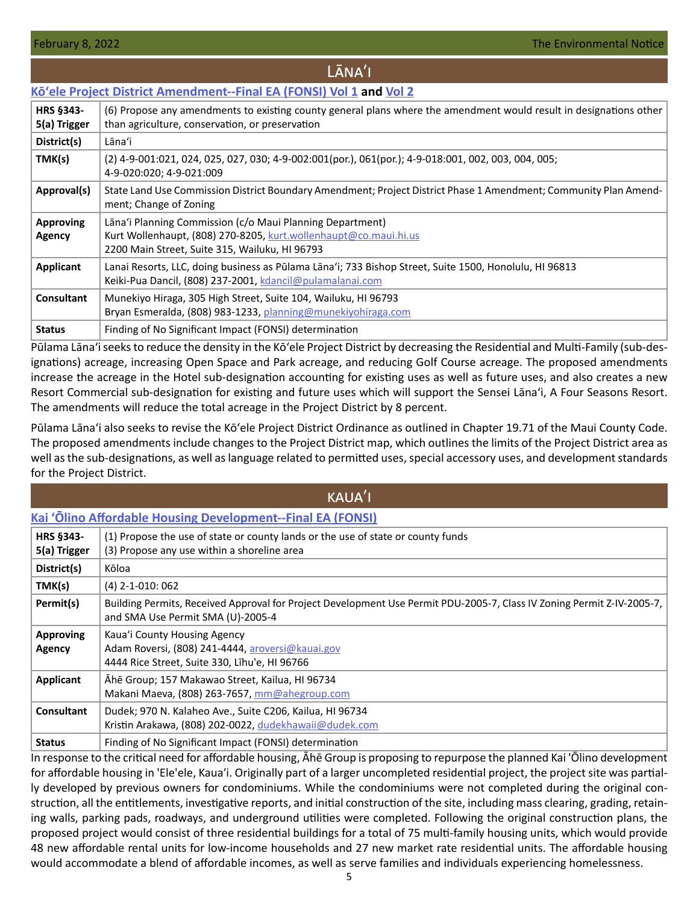### <span id="page-4-0"></span>**[Kōʻele Project District Amendment--Final EA \(FONSI\) Vol 1](https://files.hawaii.gov/dbedt/erp/Doc_Library/2022-02-08-LA-FEA-Koele-Project-District-Amendment-Vol-I.pdf) and [Vol 2](https://files.hawaii.gov/dbedt/erp/Doc_Library/2022-02-08-LA-FEA-Koele-Project-District-Amendment-Vol-II.pdf) HRS §343- 5(a) Trigger** (6) Propose any amendments to existing county general plans where the amendment would result in designations other than agriculture, conservation, or preservation **District(s)** Lānaʻi **TMK(s)** (2) 4-9-001:021, 024, 025, 027, 030; 4-9-002:001(por.), 061(por.); 4-9-018:001, 002, 003, 004, 005; 4-9-020:020; 4-9-021:009 Approval(s) State Land Use Commission District Boundary Amendment; Project District Phase 1 Amendment; Community Plan Amendment; Change of Zoning **Approving Agency** Lānaʻi Planning Commission (c/o Maui Planning Department) Kurt Wollenhaupt, (808) 270-8205, [kurt.wollenhaupt@co.maui.hi.us](mailto:kurt.wollenhaupt%40co.maui.hi.us?subject=) 2200 Main Street, Suite 315, Wailuku, HI 96793 **Applicant** Lanai Resorts, LLC, doing business as Pūlama Lānaʻi; 733 Bishop Street, Suite 1500, Honolulu, HI 96813 Keiki-Pua Dancil, (808) 237-2001, [kdancil@pulamalanai.com](mailto:kdancil%40pulamalanai.com?subject=) **Consultant** Munekiyo Hiraga, 305 High Street, Suite 104, Wailuku, HI 96793 Bryan Esmeralda, (808) 983-1233, [planning@munekiyohiraga.com](mailto:planning%40munekiyohiraga.com?subject=) **Status** Finding of No Significant Impact (FONSI) determination

LĀNA'I

Pūlama Lānaʻi seeks to reduce the density in the Kōʻele Project District by decreasing the Residential and Multi-Family (sub-designations) acreage, increasing Open Space and Park acreage, and reducing Golf Course acreage. The proposed amendments increase the acreage in the Hotel sub-designation accounting for existing uses as well as future uses, and also creates a new Resort Commercial sub-designation for existing and future uses which will support the Sensei Lānaʻi, A Four Seasons Resort. The amendments will reduce the total acreage in the Project District by 8 percent.

Pūlama Lānaʻi also seeks to revise the Kōʻele Project District Ordinance as outlined in Chapter 19.71 of the Maui County Code. The proposed amendments include changes to the Project District map, which outlines the limits of the Project District area as well as the sub-designations, as well as language related to permitted uses, special accessory uses, and development standards for the Project District.

KAUA<sup>'</sup>I

# **[Kai ʻŌlino Affordable Housing Development--Final EA \(FONSI\)](https://files.hawaii.gov/dbedt/erp/Doc_Library/2022-02-08-KA-FEA-Kai-Olino-Affordable-Housing-Development.pdf)**

| <b>HRS §343-</b><br>5(a) Trigger | (1) Propose the use of state or county lands or the use of state or county funds<br>(3) Propose any use within a shoreline area                             |
|----------------------------------|-------------------------------------------------------------------------------------------------------------------------------------------------------------|
| District(s)                      | Kōloa                                                                                                                                                       |
| TMK(s)                           | $(4)$ 2-1-010: 062                                                                                                                                          |
| Permit(s)                        | Building Permits, Received Approval for Project Development Use Permit PDU-2005-7, Class IV Zoning Permit Z-IV-2005-7,<br>and SMA Use Permit SMA (U)-2005-4 |
| <b>Approving</b><br>Agency       | Kaua'i County Housing Agency<br>Adam Roversi, (808) 241-4444, aroversi@kauai.gov<br>4444 Rice Street, Suite 330, Līhu'e, HI 96766                           |
| Applicant                        | Āhē Group; 157 Makawao Street, Kailua, HI 96734<br>Makani Maeva, (808) 263-7657, mm@ahegroup.com                                                            |
| <b>Consultant</b>                | Dudek; 970 N. Kalaheo Ave., Suite C206, Kailua, HI 96734<br>Kristin Arakawa, (808) 202-0022, dudekhawaii@dudek.com                                          |
| <b>Status</b>                    | Finding of No Significant Impact (FONSI) determination<br>うしょうかい しょうしん しょうめいししししょう いっちょう 最し テスト・コンピュータ こうしょうしょう しょうしょうしょうしょう しょうしん 小気味 こうしょうしょうしょ           |

In response to the critical need for affordable housing, Āhē Group is proposing to repurpose the planned Kai 'Ōlino development for affordable housing in 'Ele'ele, Kaua'i. Originally part of a larger uncompleted residential project, the project site was partially developed by previous owners for condominiums. While the condominiums were not completed during the original construction, all the entitlements, investigative reports, and initial construction of the site, including mass clearing, grading, retaining walls, parking pads, roadways, and underground utilities were completed. Following the original construction plans, the proposed project would consist of three residential buildings for a total of 75 multi-family housing units, which would provide 48 new affordable rental units for low-income households and 27 new market rate residential units. The affordable housing would accommodate a blend of affordable incomes, as well as serve families and individuals experiencing homelessness.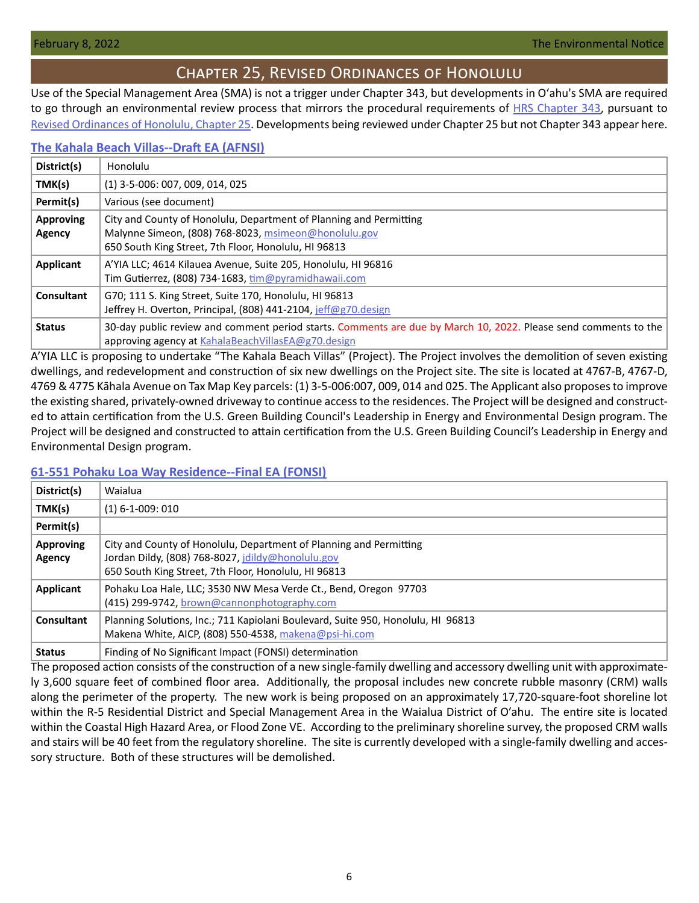# Chapter 25, Revised Ordinances of Honolulu

<span id="page-5-0"></span>Use of the Special Management Area (SMA) is not a trigger under Chapter 343, but developments in Oʻahu's SMA are required to go through an environmental review process that mirrors the procedural requirements of [HRS Chapter 343](https://www.capitol.hawaii.gov/hrscurrent/Vol06_Ch0321-0344/HRS0343/HRS_0343-.htm), pursuant to [Revised Ordinances of Honolulu, Chapter 25.](https://www.honolulu.gov/rep/site/ocs/roh/ROH_Chapter_25_article_1_12.pdf) Developments being reviewed under Chapter 25 but not Chapter 343 appear here.

### **[The Kahala Beach Villas--Draft EA \(AFNSI\)](https://files.hawaii.gov/dbedt/erp/Other_TEN_Publications/2022-02-08-OA-Chapter-25-DEA-Kahala-Beach-Villas.pdf)**

| District(s)                | Honolulu                                                                                                                                                                           |
|----------------------------|------------------------------------------------------------------------------------------------------------------------------------------------------------------------------------|
| TMK(s)                     | $(1)$ 3-5-006: 007, 009, 014, 025                                                                                                                                                  |
| Permit(s)                  | Various (see document)                                                                                                                                                             |
| <b>Approving</b><br>Agency | City and County of Honolulu, Department of Planning and Permitting<br>Malynne Simeon, (808) 768-8023, msimeon@honolulu.gov<br>650 South King Street, 7th Floor, Honolulu, HI 96813 |
| Applicant                  | A'YIA LLC; 4614 Kilauea Avenue, Suite 205, Honolulu, HI 96816<br>Tim Gutierrez, (808) 734-1683, $\text{tim@pyramidhawaii.com}$                                                     |
| Consultant                 | G70; 111 S. King Street, Suite 170, Honolulu, HI 96813<br>Jeffrey H. Overton, Principal, (808) 441-2104, jeff@g70.design                                                           |
| <b>Status</b>              | 30-day public review and comment period starts. Comments are due by March 10, 2022. Please send comments to the<br>approving agency at KahalaBeachVillasEA@g70.design              |

A'YIA LLC is proposing to undertake "The Kahala Beach Villas" (Project). The Project involves the demolition of seven existing dwellings, and redevelopment and construction of six new dwellings on the Project site. The site is located at 4767‐B, 4767‐D, 4769 & 4775 Kāhala Avenue on Tax Map Key parcels: (1) 3‐5‐006:007, 009, 014 and 025. The Applicant also proposes to improve the existing shared, privately‐owned driveway to continue access to the residences. The Project will be designed and constructed to attain certification from the U.S. Green Building Council's Leadership in Energy and Environmental Design program. The Project will be designed and constructed to attain certification from the U.S. Green Building Council's Leadership in Energy and Environmental Design program.

### **[61-551 Pohaku Loa Way Residence--Final EA \(FONSI\)](https://files.hawaii.gov/dbedt/erp/Other_TEN_Publications/2022-02-08-OA-Chapter-25-FEA-61-551-Pohaku-Loa-Way-Residence.pdf)**

| District(s)                | Waialua                                                                                                                                                                         |
|----------------------------|---------------------------------------------------------------------------------------------------------------------------------------------------------------------------------|
| TMK(s)                     | $(1)$ 6-1-009: 010                                                                                                                                                              |
| Permit(s)                  |                                                                                                                                                                                 |
| <b>Approving</b><br>Agency | City and County of Honolulu, Department of Planning and Permitting<br>Jordan Dildy, (808) 768-8027, jdildy@honolulu.gov<br>650 South King Street, 7th Floor, Honolulu, HI 96813 |
| Applicant                  | Pohaku Loa Hale, LLC; 3530 NW Mesa Verde Ct., Bend, Oregon 97703<br>(415) 299-9742, brown@cannonphotography.com                                                                 |
| <b>Consultant</b>          | Planning Solutions, Inc.; 711 Kapiolani Boulevard, Suite 950, Honolulu, HI 96813<br>Makena White, AICP, (808) 550-4538, makena@psi-hi.com                                       |
| <b>Status</b>              | Finding of No Significant Impact (FONSI) determination                                                                                                                          |

The proposed action consists of the construction of a new single-family dwelling and accessory dwelling unit with approximately 3,600 square feet of combined floor area. Additionally, the proposal includes new concrete rubble masonry (CRM) walls along the perimeter of the property. The new work is being proposed on an approximately 17,720-square-foot shoreline lot within the R-5 Residential District and Special Management Area in the Waialua District of Oʹahu. The entire site is located within the Coastal High Hazard Area, or Flood Zone VE. According to the preliminary shoreline survey, the proposed CRM walls and stairs will be 40 feet from the regulatory shoreline. The site is currently developed with a single-family dwelling and accessory structure. Both of these structures will be demolished.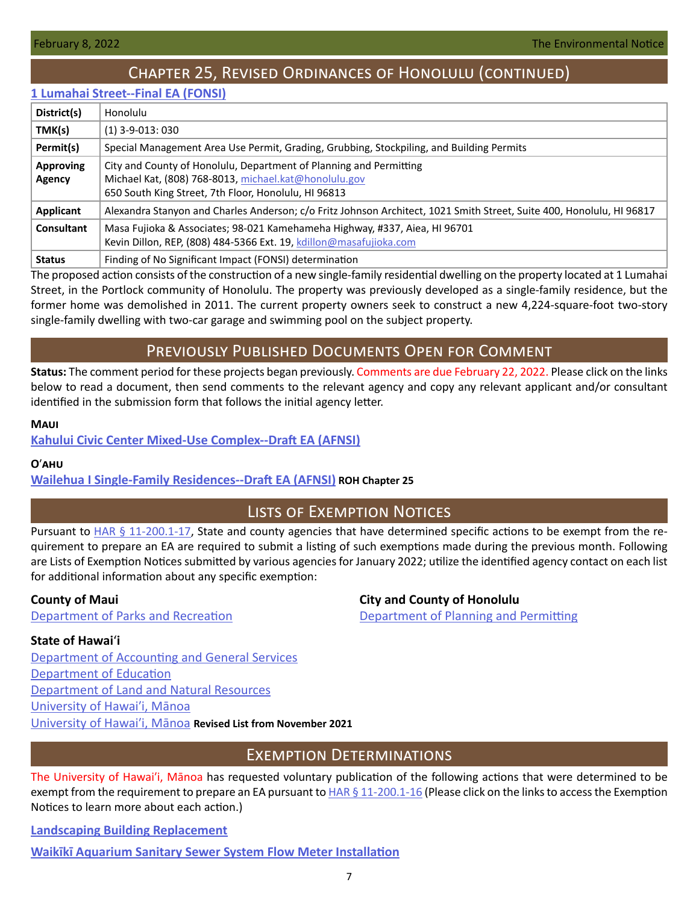# Chapter 25, Revised Ordinances of Honolulu (continued)

### <span id="page-6-0"></span>**[1 Lumahai Street--Final EA \(FONSI\)](https://files.hawaii.gov/dbedt/erp/Other_TEN_Publications/2022-02-08-OA-Chapter-25-FEA-1-Lumahai-Street-Residence.pdf)**

| District(s)                | Honolulu                                                                                                                                                                            |  |
|----------------------------|-------------------------------------------------------------------------------------------------------------------------------------------------------------------------------------|--|
| TMK(s)                     | $(1)$ 3-9-013: 030                                                                                                                                                                  |  |
| Permit(s)                  | Special Management Area Use Permit, Grading, Grubbing, Stockpiling, and Building Permits                                                                                            |  |
| <b>Approving</b><br>Agency | City and County of Honolulu, Department of Planning and Permitting<br>Michael Kat, (808) 768-8013, michael.kat@honolulu.gov<br>650 South King Street, 7th Floor, Honolulu, HI 96813 |  |
| Applicant                  | Alexandra Stanyon and Charles Anderson; c/o Fritz Johnson Architect, 1021 Smith Street, Suite 400, Honolulu, HI 96817                                                               |  |
| Consultant                 | Masa Fujioka & Associates; 98-021 Kamehameha Highway, #337, Aiea, HI 96701<br>Kevin Dillon, REP, (808) 484-5366 Ext. 19, kdillon@masafujioka.com                                    |  |
| <b>Status</b>              | Finding of No Significant Impact (FONSI) determination                                                                                                                              |  |

The proposed action consists of the construction of a new single-family residential dwelling on the property located at 1 Lumahai Street, in the Portlock community of Honolulu. The property was previously developed as a single-family residence, but the former home was demolished in 2011. The current property owners seek to construct a new 4,224-square-foot two-story single-family dwelling with two-car garage and swimming pool on the subject property.

# Previously Published Documents Open for Comment

**Status:** The comment period for these projects began previously. Comments are due February 22, 2022. Please click on the links below to read a document, then send comments to the relevant agency and copy any relevant applicant and/or consultant identified in the submission form that follows the initial agency letter.

### **Maui**

**[Kahului Civic Center Mixed-Use Complex--Draft EA \(AFNSI\)](https://files.hawaii.gov/dbedt/erp/Doc_Library/2022-01-23-MA-DEA-Kahului-Civic-Center-Mixed-Use-Complex.pdf)**

### **O**ʹ**ahu**

**[Wailehua I Single-Family Residences--Draft EA \(AFNSI\)](https://files.hawaii.gov/dbedt/erp/Other_TEN_Publications/2022-01-23-OA-Chapter-25-DEA-Wailehua-I-Single-Family-Residences.pdf) ROH Chapter 25**

# Lists of Exemption Notices

Pursuant to [HAR § 11-200.1-17](https://health.hawaii.gov/opppd/files/2019/08/11-200.1.pdf), State and county agencies that have determined specific actions to be exempt from the requirement to prepare an EA are required to submit a listing of such exemptions made during the previous month. Following are Lists of Exemption Notices submitted by various agencies for January 2022; utilize the identified agency contact on each list for additional information about any specific exemption:

# **County of Maui City and County of Honolulu**

[Department of Parks and Recreation](https://files.hawaii.gov/dbedt/erp/List_Ex_Notice/2022-02-08-COM-DPR-List-of-Exemptions-Jan-2022.pdf) [Department of Planning](https://files.hawaii.gov/dbedt/erp/List_Ex_Notice/2022-02-08-CCH-DPP-List-of-Exemptions-Jan-2022.pdf) and Permitting

# **State of Hawai**ʻ**i**

[Department of Accounting and General Services](https://files.hawaii.gov/dbedt/erp/List_Ex_Notice/2022-02-08-SOH-DAGS-List-of-Exemptions-Jan-2022.pdf) [Department of Education](https://files.hawaii.gov/dbedt/erp/List_Ex_Notice/2022-02-08-SOH-DOE-List-of-Exemptions-Jan-2022.pdf) [Department of Land and Natural Resources](https://files.hawaii.gov/dbedt/erp/List_Ex_Notice/2022-02-08-SOH-DLNR-List-of-Exemptions-Jan-2022.pdf) [University of Hawaiʹ](https://files.hawaii.gov/dbedt/erp/List_Ex_Notice/2022-02-08-SOH-UHM-List-of-Exemptions-Jan-2022.pdf)i, Mānoa [University of Hawaiʹ](https://files.hawaii.gov/dbedt/erp/List_Ex_Notice/2022-02-08-SOH-UHM-List-of-Exemptions-Nov-2021-revised.pdf)i, Mānoa **Revised List from November 2021**

# Exemption Determinations

The University of Hawaiʹi, Mānoa has requested voluntary publication of the following actions that were determined to be exempt from the requirement to prepare an EA pursuant to  $HAR \S 11-200.1-16$  (Please click on the links to access the Exemption Notices to learn more about each action.)

# **[Landscaping Building Replacement](https://files.hawaii.gov/dbedt/erp/Other_TEN_Publications/2022-02-08-OA-Exemption-UHM-Landscape-Building-Replacement.pdf)**

**[Waikīkī Aquarium Sanitary Sewer System Flow Meter Installation](https://files.hawaii.gov/dbedt/erp/Other_TEN_Publications/2022-02-08-OA-Exemption-UHM-Waikiki-Aquarium-Sanitary-Sewer-System-Flow-Meter-Installation.pdf)**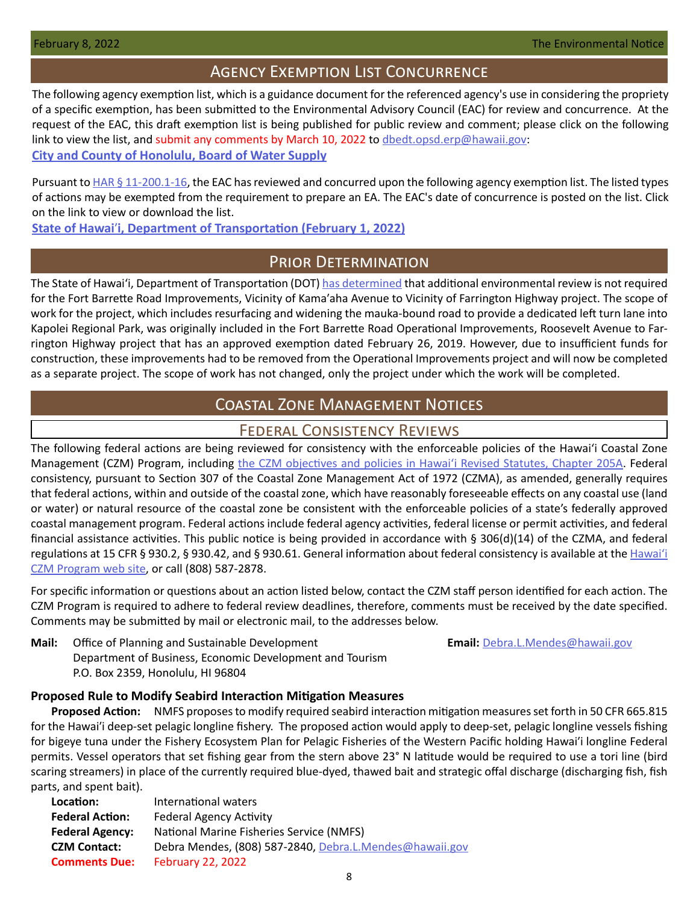# Agency Exemption List Concurrence

<span id="page-7-0"></span>The following agency exemption list, which is a guidance document for the referenced agency's use in considering the propriety of a specific exemption, has been submitted to the Environmental Advisory Council (EAC) for review and concurrence. At the request of the EAC, this draft exemption list is being published for public review and comment; please click on the following link to view the list, and submit any comments by March 10, 2022 to [dbedt.opsd.erp@hawaii.gov](mailto:dbedt.opsd.erp%40hawaii.gov?subject=): **[City and County of Honolulu, Board of Water Supply](https://files.hawaii.gov/dbedt/erp/Agency_Exemption_Lists/Honolulu-Board-of-Water-Supply-Exemption-List-Draft-2022-02-01.pdf)**

Pursuant to [HAR § 11-200.1-16,](https://health.hawaii.gov/opppd/files/2019/08/11-200.1.pdf) the EAC has reviewed and concurred upon the following agency exemption list. The listed types of actions may be exempted from the requirement to prepare an EA. The EAC's date of concurrence is posted on the list. Click on the link to view or download the list.

**State of Hawai**ʹ**[i, Department of Transportation \(February 1, 2022\)](https://files.hawaii.gov/dbedt/erp/Agency_Exemption_Lists/State-Department-of-Transportation-Exemption-List_2022-02-01.pdf)**

# Prior Determination

The State of Hawaiʻi, Department of Transportation (DOT) [has determined](https://files.hawaii.gov/dbedt/erp/Other_TEN_Publications/2022-02-08-OA-Prior-Determination-DOT-Fort-Barrette-Rd-Improvements.pdf) that additional environmental review is not required for the Fort Barrette Road Improvements, Vicinity of Kamaʹaha Avenue to Vicinity of Farrington Highway project. The scope of work for the project, which includes resurfacing and widening the mauka-bound road to provide a dedicated left turn lane into Kapolei Regional Park, was originally included in the Fort Barrette Road Operational Improvements, Roosevelt Avenue to Farrington Highway project that has an approved exemption dated February 26, 2019. However, due to insufficient funds for construction, these improvements had to be removed from the Operational Improvements project and will now be completed as a separate project. The scope of work has not changed, only the project under which the work will be completed.

# Coastal Zone Management Notices

# Federal Consistency Reviews

The following federal actions are being reviewed for consistency with the enforceable policies of the Hawaiʻi Coastal Zone Management (CZM) Program, including the CZM objectives and policies in Hawai'i Revised Statutes, Chapter 205A. Federal consistency, pursuant to Section 307 of the Coastal Zone Management Act of 1972 (CZMA), as amended, generally requires that federal actions, within and outside of the coastal zone, which have reasonably foreseeable effects on any coastal use (land or water) or natural resource of the coastal zone be consistent with the enforceable policies of a state's federally approved coastal management program. Federal actions include federal agency activities, federal license or permit activities, and federal financial assistance activities. This public notice is being provided in accordance with § 306(d)(14) of the CZMA, and federal regulations at 15 CFR § 930.2, § 930.42, and § 930.61. General information about federal consistency is available at the [Hawai](http://planning.hawaii.gov/czm/federal-consistency/)ʻi [CZM Program web site,](http://planning.hawaii.gov/czm/federal-consistency/) or call (808) 587-2878.

For specific information or questions about an action listed below, contact the CZM staff person identified for each action. The CZM Program is required to adhere to federal review deadlines, therefore, comments must be received by the date specified. Comments may be submitted by mail or electronic mail, to the addresses below.

**Mail:** Office of Planning and Sustainable Development **Email: [Debra.L.Mendes@hawaii.gov](mailto:Debra.L.Mendes%40hawaii.gov?subject=)** Department of Business, Economic Development and Tourism P.O. Box 2359, Honolulu, HI 96804

# **Proposed Rule to Modify Seabird Interaction Mitigation Measures**

**Proposed Action:** NMFS proposes to modify required seabird interaction mitigation measures set forth in 50 CFR 665.815 for the Hawai'i deep-set pelagic longline fishery. The proposed action would apply to deep-set, pelagic longline vessels fishing for bigeye tuna under the Fishery Ecosystem Plan for Pelagic Fisheries of the Western Pacific holding Hawai'i longline Federal permits. Vessel operators that set fishing gear from the stern above 23° N latitude would be required to use a tori line (bird scaring streamers) in place of the currently required blue-dyed, thawed bait and strategic offal discharge (discharging fish, fish parts, and spent bait).

| Location:              | International waters                                    |
|------------------------|---------------------------------------------------------|
| <b>Federal Action:</b> | <b>Federal Agency Activity</b>                          |
| <b>Federal Agency:</b> | National Marine Fisheries Service (NMFS)                |
| <b>CZM Contact:</b>    | Debra Mendes, (808) 587-2840, Debra.L.Mendes@hawaii.gov |
| <b>Comments Due:</b>   | <b>February 22, 2022</b>                                |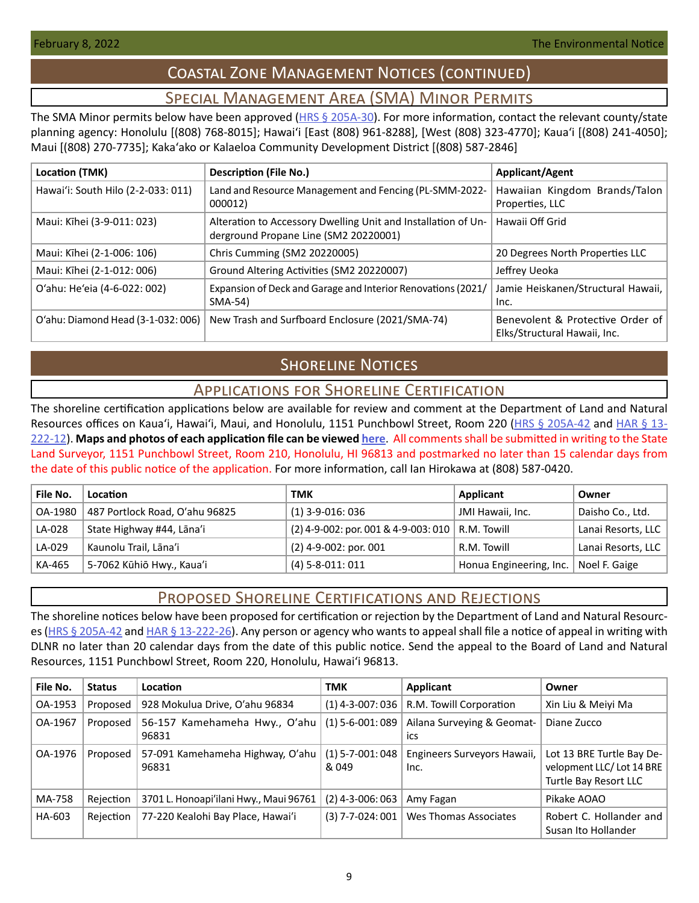# Coastal Zone Management Notices (continued)

# Special Management Area (SMA) Minor Permits

<span id="page-8-0"></span>The SMA Minor permits below have been approved (HRS  $\S$  205A-30). For more information, contact the relevant county/state planning agency: Honolulu [(808) 768-8015]; Hawaiʻi [East (808) 961-8288], [West (808) 323-4770]; Kauaʻi [(808) 241-4050]; Maui [(808) 270-7735]; Kakaʻako or Kalaeloa Community Development District [(808) 587-2846]

| Location (TMK)                     | <b>Description (File No.)</b>                                                                          | <b>Applicant/Agent</b>                                           |
|------------------------------------|--------------------------------------------------------------------------------------------------------|------------------------------------------------------------------|
| Hawai'i: South Hilo (2-2-033: 011) | Land and Resource Management and Fencing (PL-SMM-2022-<br>000012)                                      | Hawaiian Kingdom Brands/Talon<br>Properties, LLC                 |
| Maui: Kīhei (3-9-011: 023)         | Alteration to Accessory Dwelling Unit and Installation of Un-<br>derground Propane Line (SM2 20220001) | Hawaii Off Grid                                                  |
| Maui: Kīhei (2-1-006: 106)         | Chris Cumming (SM2 20220005)                                                                           | 20 Degrees North Properties LLC                                  |
| Maui: Kīhei (2-1-012: 006)         | Ground Altering Activities (SM2 20220007)                                                              | Jeffrey Ueoka                                                    |
| O'ahu: He'eia (4-6-022: 002)       | Expansion of Deck and Garage and Interior Renovations (2021/<br>SMA-54)                                | Jamie Heiskanen/Structural Hawaii,<br>Inc.                       |
| O'ahu: Diamond Head (3-1-032: 006) | New Trash and Surfboard Enclosure (2021/SMA-74)                                                        | Benevolent & Protective Order of<br>Elks/Structural Hawaii, Inc. |

# **SHORELINE NOTICES**

# Applications for Shoreline Certification

The shoreline certification applications below are available for review and comment at the Department of Land and Natural Resources offices on Kaua'i, Hawai'i, Maui, and Honolulu, 1151 Punchbowl Street, Room 220 ([HRS § 205A-42](https://www.capitol.hawaii.gov/hrscurrent/Vol04_Ch0201-0257/HRS0205A/HRS_0205A-0042.htm) and [HAR § 13-](https://dlnr.hawaii.gov/ld/files/2013/07/Ch13-222-Amend-Compil-Stand-Rev1.pdf) [222-12](https://dlnr.hawaii.gov/ld/files/2013/07/Ch13-222-Amend-Compil-Stand-Rev1.pdf)). **Maps and photos of each application file can be viewed [here](https://ags.hawaii.gov/survey/shoreline/#apps)**. All comments shall be submitted in writing to the State Land Surveyor, 1151 Punchbowl Street, Room 210, Honolulu, HI 96813 and postmarked no later than 15 calendar days from the date of this public notice of the application. For more information, call Ian Hirokawa at (808) 587-0420.

| File No. | Location                       | тмк                                                  | Applicant                               | Owner              |
|----------|--------------------------------|------------------------------------------------------|-----------------------------------------|--------------------|
| OA-1980  | 487 Portlock Road, O'ahu 96825 | $(1)$ 3-9-016: 036                                   | JMI Hawaii, Inc.                        | Daisho Co., Ltd.   |
| LA-028   | State Highway #44, Lāna'i      | $(2)$ 4-9-002: por. 001 & 4-9-003: 010   R.M. Towill |                                         | Lanai Resorts, LLC |
| LA-029   | Kaunolu Trail, Lāna'i          | $(2)$ 4-9-002: por. 001                              | R.M. Towill                             | Lanai Resorts, LLC |
| KA-465   | 5-7062 Kūhiō Hwy., Kaua'i      | $(4)$ 5-8-011: 011                                   | Honua Engineering, Inc.   Noel F. Gaige |                    |

# Proposed Shoreline Certifications and Rejections

The shoreline notices below have been proposed for certification or rejection by the Department of Land and Natural Resourc-es [\(HRS § 205A-42](http://HRS § 205A-42) and [HAR § 13-222-26\)](https://dlnr.hawaii.gov/ld/files/2013/07/Ch13-222-Amend-Compil-Stand-Rev1.pdf). Any person or agency who wants to appeal shall file a notice of appeal in writing with DLNR no later than 20 calendar days from the date of this public notice. Send the appeal to the Board of Land and Natural Resources, 1151 Punchbowl Street, Room 220, Honolulu, Hawai'i 96813.

| File No. | <b>Status</b> | <b>Location</b>                           | TMK                            | Applicant                           | Owner                                                                          |
|----------|---------------|-------------------------------------------|--------------------------------|-------------------------------------|--------------------------------------------------------------------------------|
| OA-1953  | Proposed      | 928 Mokulua Drive, O'ahu 96834            | $(1)$ 4-3-007: 036             | R.M. Towill Corporation             | Xin Liu & Meiyi Ma                                                             |
| OA-1967  | Proposed      | 56-157 Kamehameha Hwy., O'ahu<br>96831    | $(1)$ 5-6-001: 089             | Ailana Surveying & Geomat-<br>ics   | Diane Zucco                                                                    |
| OA-1976  | Proposed      | 57-091 Kamehameha Highway, O'ahu<br>96831 | $(1) 5 - 7 - 001:048$<br>& 049 | Engineers Surveyors Hawaii,<br>Inc. | Lot 13 BRE Turtle Bay De-<br>velopment LLC/Lot 14 BRE<br>Turtle Bay Resort LLC |
| MA-758   | Rejection     | 3701 L. Honoapi'ilani Hwy., Maui 96761    | (2) 4-3-006: 063               | Amy Fagan                           | Pikake AOAO                                                                    |
| HA-603   | Rejection     | 77-220 Kealohi Bay Place, Hawai'i         | $(3)$ 7-7-024: 001             | Wes Thomas Associates               | Robert C. Hollander and<br>Susan Ito Hollander                                 |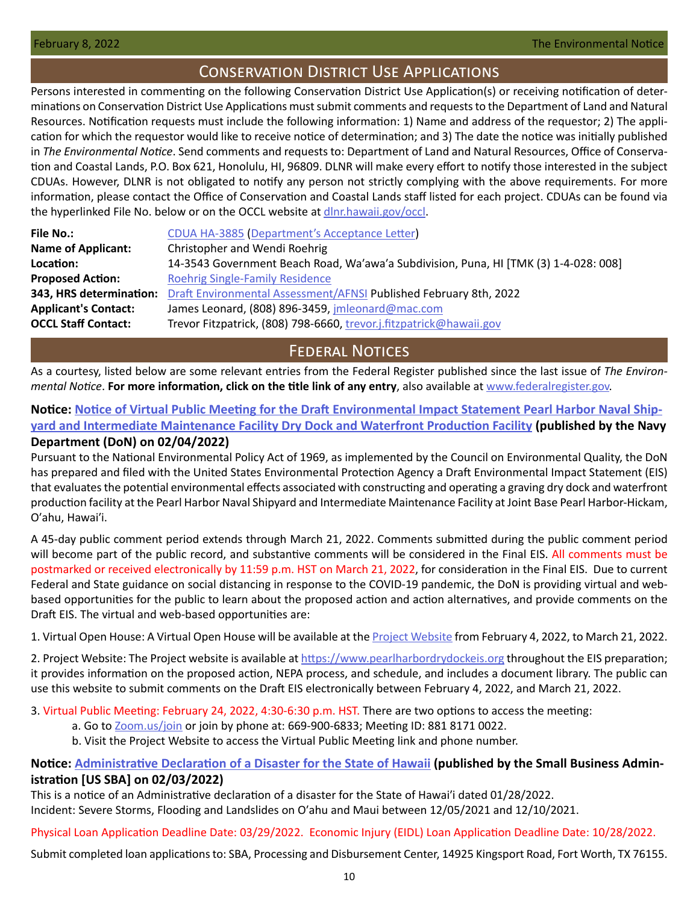# Conservation District Use Applications

<span id="page-9-0"></span>Persons interested in commenting on the following Conservation District Use Application(s) or receiving notification of determinations on Conservation District Use Applications must submit comments and requests to the Department of Land and Natural Resources. Notification requests must include the following information: 1) Name and address of the requestor; 2) The application for which the requestor would like to receive notice of determination; and 3) The date the notice was initially published in *The Environmental Notice*. Send comments and requests to: Department of Land and Natural Resources, Office of Conservation and Coastal Lands, P.O. Box 621, Honolulu, HI, 96809. DLNR will make every effort to notify those interested in the subject CDUAs. However, DLNR is not obligated to notify any person not strictly complying with the above requirements. For more information, please contact the Office of Conservation and Coastal Lands staff listed for each project. CDUAs can be found via the hyperlinked File No. below or on the OCCL website at [dlnr.hawaii.gov/occl.](http://dlnr.hawaii.gov/occl)

| <b>File No.:</b>            | CDUA HA-3885 (Department's Acceptance Letter)                                        |
|-----------------------------|--------------------------------------------------------------------------------------|
| <b>Name of Applicant:</b>   | Christopher and Wendi Roehrig                                                        |
| Location:                   | 14-3543 Government Beach Road, Wa'awa'a Subdivision, Puna, HI [TMK (3) 1-4-028: 008] |
| <b>Proposed Action:</b>     | <b>Roehrig Single-Family Residence</b>                                               |
| 343, HRS determination:     | Draft Environmental Assessment/AFNSI Published February 8th, 2022                    |
| <b>Applicant's Contact:</b> | James Leonard, (808) 896-3459, jmleonard@mac.com                                     |
| <b>OCCL Staff Contact:</b>  | Trevor Fitzpatrick, (808) 798-6660, trevor.j.fitzpatrick@hawaii.gov                  |
|                             |                                                                                      |

# **FEDERAL NOTICES**

As a courtesy, listed below are some relevant entries from the Federal Register published since the last issue of *The Environmental Notice*. **For more information, click on the title link of any entry**, also available at [www.federalregister.gov.](http://www.federalregister.gov)

# **Notice: [Notice of Virtual Public Meeting for the Draft Environmental Impact Statement Pearl Harbor Naval Ship](https://www.federalregister.gov/documents/2022/02/04/2022-02168/notice-of-virtual-public-meeting-for-the-draft-environmental-impact-statement-pearl-harbor-naval)[yard and Intermediate Maintenance Facility Dry Dock and Waterfront Production Facility](https://www.federalregister.gov/documents/2022/02/04/2022-02168/notice-of-virtual-public-meeting-for-the-draft-environmental-impact-statement-pearl-harbor-naval) (published by the Navy Department (DoN) on 02/04/2022)**

Pursuant to the National Environmental Policy Act of 1969, as implemented by the Council on Environmental Quality, the DoN has prepared and filed with the United States Environmental Protection Agency a Draft Environmental Impact Statement (EIS) that evaluates the potential environmental effects associated with constructing and operating a graving dry dock and waterfront production facility at the Pearl Harbor Naval Shipyard and Intermediate Maintenance Facility at Joint Base Pearl Harbor‐Hickam, Oʹahu, Hawaiʹi.

A 45-day public comment period extends through March 21, 2022. Comments submitted during the public comment period will become part of the public record, and substantive comments will be considered in the Final EIS. All comments must be postmarked or received electronically by 11:59 p.m. HST on March 21, 2022, for consideration in the Final EIS. Due to current Federal and State guidance on social distancing in response to the COVID-19 pandemic, the DoN is providing virtual and webbased opportunities for the public to learn about the proposed action and action alternatives, and provide comments on the Draft EIS. The virtual and web-based opportunities are:

1. Virtual Open House: A Virtual Open House will be available at the [Project Website](https://www.pearlharbordrydockeis.org) from February 4, 2022, to March 21, 2022.

2. Project Website: The Project website is available at<https://www.pearlharbordrydockeis.org>throughout the EIS preparation; it provides information on the proposed action, NEPA process, and schedule, and includes a document library. The public can use this website to submit comments on the Draft EIS electronically between February 4, 2022, and March 21, 2022.

### 3. Virtual Public Meeting: February 24, 2022, 4:30-6:30 p.m. HST. There are two options to access the meeting:

- a. Go to [Zoom.us/join](http://Zoom.us/join) or join by phone at: 669-900-6833; Meeting ID: 881 8171 0022.
- b. Visit the Project Website to access the Virtual Public Meeting link and phone number.

# **Notice: [Administrative Declaration of a Disaster for the State of Hawaii](https://www.federalregister.gov/documents/2022/02/03/2022-02191/administrative-declaration-of-a-disaster-for-the-state-of-hawaii) (published by the Small Business Administration [US SBA] on 02/03/2022)**

This is a notice of an Administrative declaration of a disaster for the State of Hawaiʹi dated 01/28/2022. Incident: Severe Storms, Flooding and Landslides on Oʹahu and Maui between 12/05/2021 and 12/10/2021.

Physical Loan Application Deadline Date: 03/29/2022. Economic Injury (EIDL) Loan Application Deadline Date: 10/28/2022.

Submit completed loan applications to: SBA, Processing and Disbursement Center, 14925 Kingsport Road, Fort Worth, TX 76155.